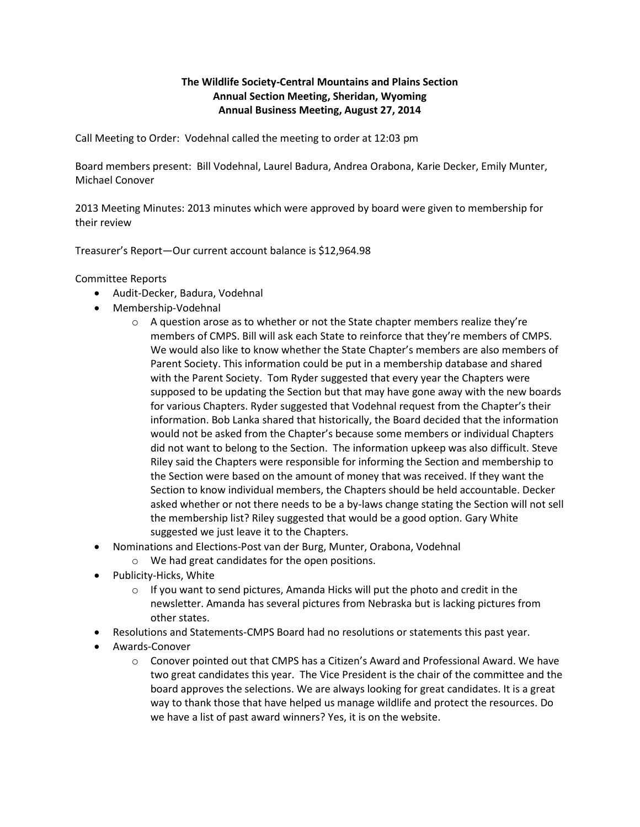## **The Wildlife Society-Central Mountains and Plains Section Annual Section Meeting, Sheridan, Wyoming Annual Business Meeting, August 27, 2014**

Call Meeting to Order: Vodehnal called the meeting to order at 12:03 pm

Board members present: Bill Vodehnal, Laurel Badura, Andrea Orabona, Karie Decker, Emily Munter, Michael Conover

2013 Meeting Minutes: 2013 minutes which were approved by board were given to membership for their review

Treasurer's Report—Our current account balance is \$12,964.98

Committee Reports

- Audit-Decker, Badura, Vodehnal
- Membership-Vodehnal
	- $\circ$  A question arose as to whether or not the State chapter members realize they're members of CMPS. Bill will ask each State to reinforce that they're members of CMPS. We would also like to know whether the State Chapter's members are also members of Parent Society. This information could be put in a membership database and shared with the Parent Society. Tom Ryder suggested that every year the Chapters were supposed to be updating the Section but that may have gone away with the new boards for various Chapters. Ryder suggested that Vodehnal request from the Chapter's their information. Bob Lanka shared that historically, the Board decided that the information would not be asked from the Chapter's because some members or individual Chapters did not want to belong to the Section. The information upkeep was also difficult. Steve Riley said the Chapters were responsible for informing the Section and membership to the Section were based on the amount of money that was received. If they want the Section to know individual members, the Chapters should be held accountable. Decker asked whether or not there needs to be a by-laws change stating the Section will not sell the membership list? Riley suggested that would be a good option. Gary White suggested we just leave it to the Chapters.
- Nominations and Elections-Post van der Burg, Munter, Orabona, Vodehnal
	- o We had great candidates for the open positions.
- Publicity-Hicks, White
	- $\circ$  If you want to send pictures, Amanda Hicks will put the photo and credit in the newsletter. Amanda has several pictures from Nebraska but is lacking pictures from other states.
- Resolutions and Statements-CMPS Board had no resolutions or statements this past year.
- Awards-Conover
	- o Conover pointed out that CMPS has a Citizen's Award and Professional Award. We have two great candidates this year. The Vice President is the chair of the committee and the board approves the selections. We are always looking for great candidates. It is a great way to thank those that have helped us manage wildlife and protect the resources. Do we have a list of past award winners? Yes, it is on the website.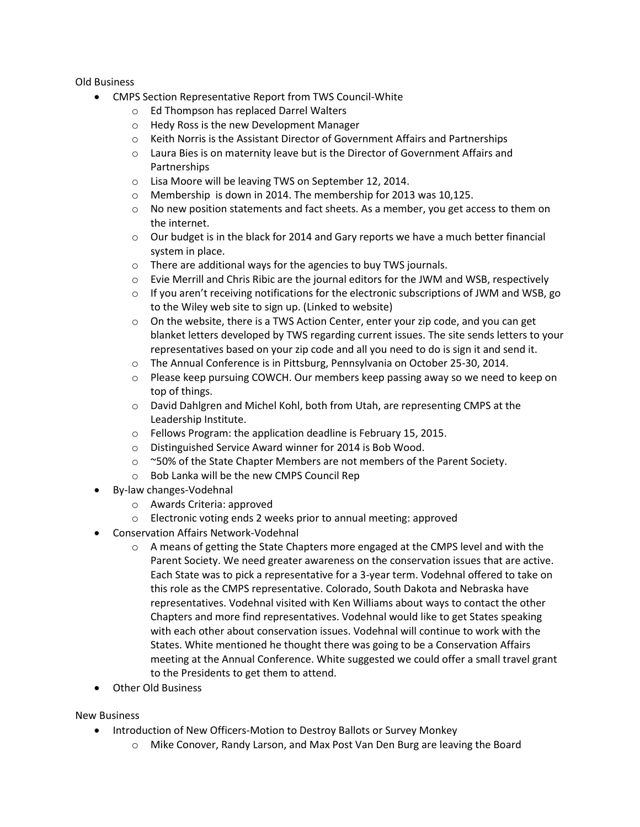## Old Business

- CMPS Section Representative Report from TWS Council-White
	- o Ed Thompson has replaced Darrel Walters
	- o Hedy Ross is the new Development Manager
	- $\circ$  Keith Norris is the Assistant Director of Government Affairs and Partnerships
	- $\circ$  Laura Bies is on maternity leave but is the Director of Government Affairs and Partnerships
	- o Lisa Moore will be leaving TWS on September 12, 2014.
	- o Membership is down in 2014. The membership for 2013 was 10,125.
	- o No new position statements and fact sheets. As a member, you get access to them on the internet.
	- $\circ$  Our budget is in the black for 2014 and Gary reports we have a much better financial system in place.
	- o There are additional ways for the agencies to buy TWS journals.
	- o Evie Merrill and Chris Ribic are the journal editors for the JWM and WSB, respectively
	- $\circ$  If you aren't receiving notifications for the electronic subscriptions of JWM and WSB, go to the Wiley web site to sign up. (Linked to website)
	- $\circ$  On the website, there is a TWS Action Center, enter your zip code, and you can get blanket letters developed by TWS regarding current issues. The site sends letters to your representatives based on your zip code and all you need to do is sign it and send it.
	- o The Annual Conference is in Pittsburg, Pennsylvania on October 25-30, 2014.
	- o Please keep pursuing COWCH. Our members keep passing away so we need to keep on top of things.
	- $\circ$  David Dahlgren and Michel Kohl, both from Utah, are representing CMPS at the Leadership Institute.
	- o Fellows Program: the application deadline is February 15, 2015.
	- o Distinguished Service Award winner for 2014 is Bob Wood.
	- o ~50% of the State Chapter Members are not members of the Parent Society.
	- o Bob Lanka will be the new CMPS Council Rep
- By-law changes-Vodehnal
	- o Awards Criteria: approved
	- o Electronic voting ends 2 weeks prior to annual meeting: approved
- Conservation Affairs Network-Vodehnal
	- $\circ$  A means of getting the State Chapters more engaged at the CMPS level and with the Parent Society. We need greater awareness on the conservation issues that are active. Each State was to pick a representative for a 3-year term. Vodehnal offered to take on this role as the CMPS representative. Colorado, South Dakota and Nebraska have representatives. Vodehnal visited with Ken Williams about ways to contact the other Chapters and more find representatives. Vodehnal would like to get States speaking with each other about conservation issues. Vodehnal will continue to work with the States. White mentioned he thought there was going to be a Conservation Affairs meeting at the Annual Conference. White suggested we could offer a small travel grant to the Presidents to get them to attend.
- Other Old Business

## New Business

- Introduction of New Officers-Motion to Destroy Ballots or Survey Monkey
	- o Mike Conover, Randy Larson, and Max Post Van Den Burg are leaving the Board